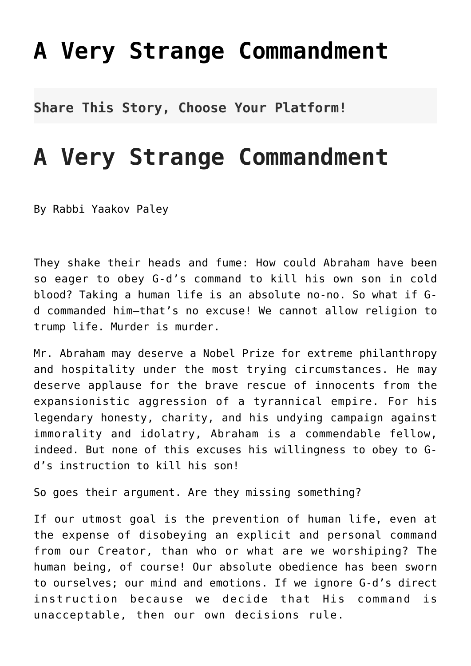## **[A Very Strange Commandment](http://noahide.org/a-very-strange-commandment/)**

**Share This Story, Choose Your Platform!**

## **A Very Strange Commandment**

By Rabbi Yaakov Paley

They shake their heads and fume: How could Abraham have been so eager to obey G-d's command to kill his own son in cold blood? Taking a human life is an absolute no-no. So what if Gd commanded him–that's no excuse! We cannot allow religion to trump life. Murder is murder.

Mr. Abraham may deserve a Nobel Prize for extreme philanthropy and hospitality under the most trying circumstances. He may deserve applause for the brave rescue of innocents from the expansionistic aggression of a tyrannical empire. For his legendary honesty, charity, and his undying campaign against immorality and idolatry, Abraham is a commendable fellow, indeed. But none of this excuses his willingness to obey to Gd's instruction to kill his son!

So goes their argument. Are they missing something?

If our utmost goal is the prevention of human life, even at the expense of disobeying an explicit and personal command from our Creator, than who or what are we worshiping? The human being, of course! Our absolute obedience has been sworn to ourselves; our mind and emotions. If we ignore G-d's direct instruction because we decide that His command is unacceptable, then our own decisions rule.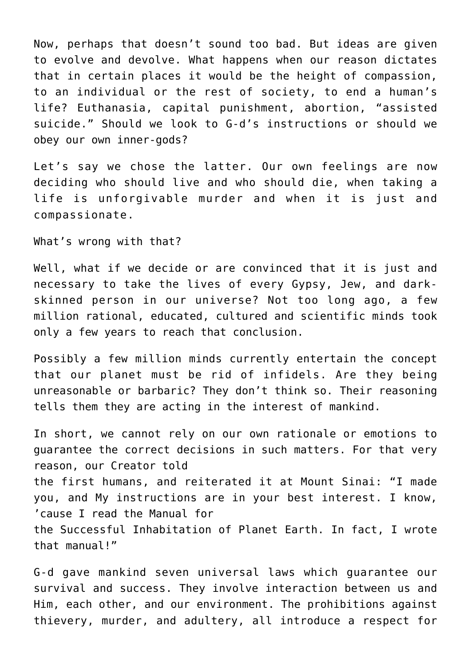Now, perhaps that doesn't sound too bad. But ideas are given to evolve and devolve. What happens when our reason dictates that in certain places it would be the height of compassion, to an individual or the rest of society, to end a human's life? Euthanasia, capital punishment, abortion, "assisted suicide." Should we look to G-d's instructions or should we obey our own inner-gods?

Let's say we chose the latter. Our own feelings are now deciding who should live and who should die, when taking a life is unforgivable murder and when it is just and compassionate.

What's wrong with that?

Well, what if we decide or are convinced that it is just and necessary to take the lives of every Gypsy, Jew, and darkskinned person in our universe? Not too long ago, a few million rational, educated, cultured and scientific minds took only a few years to reach that conclusion.

Possibly a few million minds currently entertain the concept that our planet must be rid of infidels. Are they being unreasonable or barbaric? They don't think so. Their reasoning tells them they are acting in the interest of mankind.

In short, we cannot rely on our own rationale or emotions to guarantee the correct decisions in such matters. For that very reason, our Creator told the first humans, and reiterated it at Mount Sinai: "I made you, and My instructions are in your best interest. I know, 'cause I read the Manual for the Successful Inhabitation of Planet Earth. In fact, I wrote that manual!"

G-d gave mankind seven universal laws which guarantee our survival and success. They involve interaction between us and Him, each other, and our environment. The prohibitions against thievery, murder, and adultery, all introduce a respect for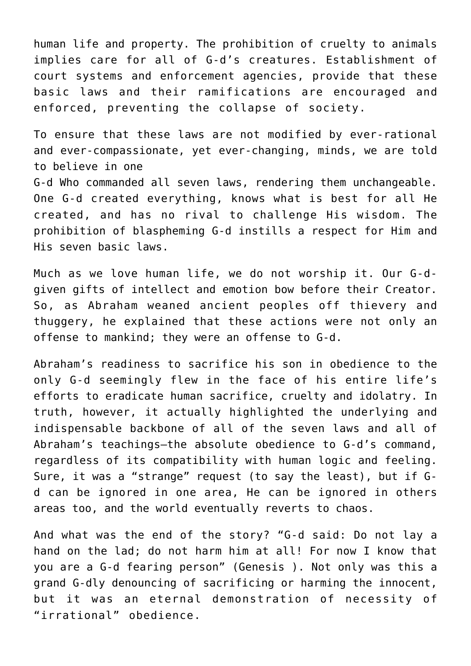human life and property. The prohibition of cruelty to animals implies care for all of G-d's creatures. Establishment of court systems and enforcement agencies, provide that these basic laws and their ramifications are encouraged and enforced, preventing the collapse of society.

To ensure that these laws are not modified by ever-rational and ever-compassionate, yet ever-changing, minds, we are told to believe in one G-d Who commanded all seven laws, rendering them unchangeable. One G-d created everything, knows what is best for all He created, and has no rival to challenge His wisdom. The prohibition of blaspheming G-d instills a respect for Him and His seven basic laws.

Much as we love human life, we do not worship it. Our G-dgiven gifts of intellect and emotion bow before their Creator. So, as Abraham weaned ancient peoples off thievery and thuggery, he explained that these actions were not only an offense to mankind; they were an offense to G-d.

Abraham's readiness to sacrifice his son in obedience to the only G-d seemingly flew in the face of his entire life's efforts to eradicate human sacrifice, cruelty and idolatry. In truth, however, it actually highlighted the underlying and indispensable backbone of all of the seven laws and all of Abraham's teachings–the absolute obedience to G-d's command, regardless of its compatibility with human logic and feeling. Sure, it was a "strange" request (to say the least), but if Gd can be ignored in one area, He can be ignored in others areas too, and the world eventually reverts to chaos.

And what was the end of the story? "G-d said: Do not lay a hand on the lad; do not harm him at all! For now I know that you are a G-d fearing person" (Genesis ). Not only was this a grand G-dly denouncing of sacrificing or harming the innocent, but it was an eternal demonstration of necessity of "irrational" obedience.